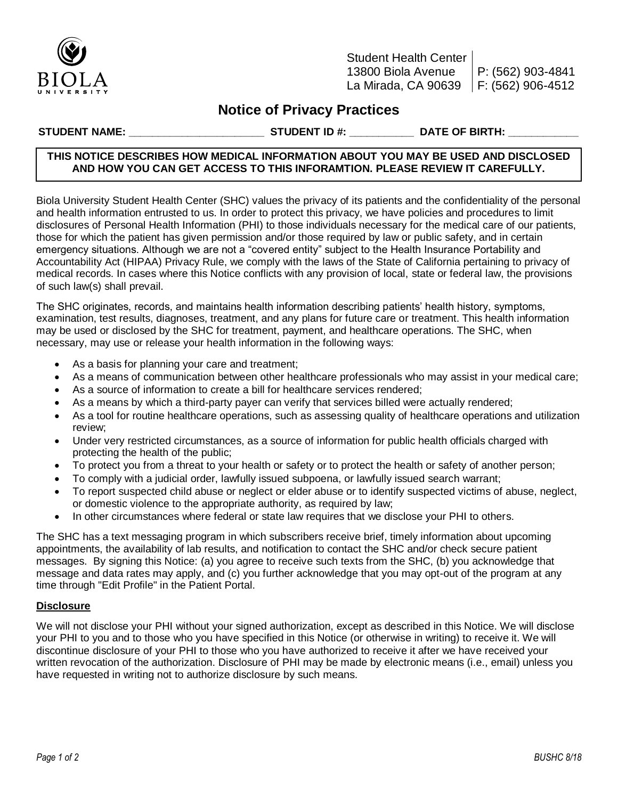

Student Health Center 13800 Biola Avenue La Mirada, CA 90639 P: (562) 903-4841 F: (562) 906-4512

# **Notice of Privacy Practices**

**STUDENT NAME: \_\_\_\_\_\_\_\_\_\_\_\_\_\_\_\_\_\_\_\_\_\_\_ STUDENT ID #: \_\_\_\_\_\_\_\_\_\_\_ DATE OF BIRTH: \_\_\_\_\_\_\_\_\_\_\_\_**

# **THIS NOTICE DESCRIBES HOW MEDICAL INFORMATION ABOUT YOU MAY BE USED AND DISCLOSED AND HOW YOU CAN GET ACCESS TO THIS INFORAMTION. PLEASE REVIEW IT CAREFULLY.**

Biola University Student Health Center (SHC) values the privacy of its patients and the confidentiality of the personal and health information entrusted to us. In order to protect this privacy, we have policies and procedures to limit disclosures of Personal Health Information (PHI) to those individuals necessary for the medical care of our patients, those for which the patient has given permission and/or those required by law or public safety, and in certain emergency situations. Although we are not a "covered entity" subject to the Health Insurance Portability and Accountability Act (HIPAA) Privacy Rule, we comply with the laws of the State of California pertaining to privacy of medical records. In cases where this Notice conflicts with any provision of local, state or federal law, the provisions of such law(s) shall prevail.

The SHC originates, records, and maintains health information describing patients' health history, symptoms, examination, test results, diagnoses, treatment, and any plans for future care or treatment. This health information may be used or disclosed by the SHC for treatment, payment, and healthcare operations. The SHC, when necessary, may use or release your health information in the following ways:

- As a basis for planning your care and treatment;
- As a means of communication between other healthcare professionals who may assist in your medical care;
- As a source of information to create a bill for healthcare services rendered;
- As a means by which a third-party payer can verify that services billed were actually rendered;
- As a tool for routine healthcare operations, such as assessing quality of healthcare operations and utilization review;
- Under very restricted circumstances, as a source of information for public health officials charged with protecting the health of the public;
- To protect you from a threat to your health or safety or to protect the health or safety of another person;
- To comply with a judicial order, lawfully issued subpoena, or lawfully issued search warrant;
- To report suspected child abuse or neglect or elder abuse or to identify suspected victims of abuse, neglect, or domestic violence to the appropriate authority, as required by law;
- In other circumstances where federal or state law requires that we disclose your PHI to others.

The SHC has a text messaging program in which subscribers receive brief, timely information about upcoming appointments, the availability of lab results, and notification to contact the SHC and/or check secure patient messages. By signing this Notice: (a) you agree to receive such texts from the SHC, (b) you acknowledge that message and data rates may apply, and (c) you further acknowledge that you may opt-out of the program at any time through "Edit Profile" in the Patient Portal.

## **Disclosure**

We will not disclose your PHI without your signed authorization, except as described in this Notice. We will disclose your PHI to you and to those who you have specified in this Notice (or otherwise in writing) to receive it. We will discontinue disclosure of your PHI to those who you have authorized to receive it after we have received your written revocation of the authorization. Disclosure of PHI may be made by electronic means (i.e., email) unless you have requested in writing not to authorize disclosure by such means.